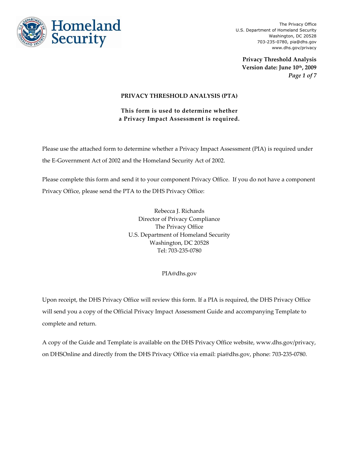

**Privacy Threshold Analysis Version date: June 10th, 2009** *Page 1 of 7*

#### **PRIVACY THRESHOLD ANALYSIS (PTA)**

**This form is used to determine whether a Privacy Impact Assessment is required.**

Please use the attached form to determine whether a Privacy Impact Assessment (PIA) is required under the E-Government Act of 2002 and the Homeland Security Act of 2002.

Please complete this form and send it to your component Privacy Office. If you do not have a component Privacy Office, please send the PTA to the DHS Privacy Office:

> Rebecca J. Richards Director of Privacy Compliance The Privacy Office U.S. Department of Homeland Security Washington, DC 20528 Tel: 703-235-0780

> > PIA@dhs.gov

Upon receipt, the DHS Privacy Office will review this form. If a PIA is required, the DHS Privacy Office will send you a copy of the Official Privacy Impact Assessment Guide and accompanying Template to complete and return.

A copy of the Guide and Template is available on the DHS Privacy Office website, www.dhs.gov/privacy, on DHSOnline and directly from the DHS Privacy Office via email: pia@dhs.gov, phone: 703-235-0780.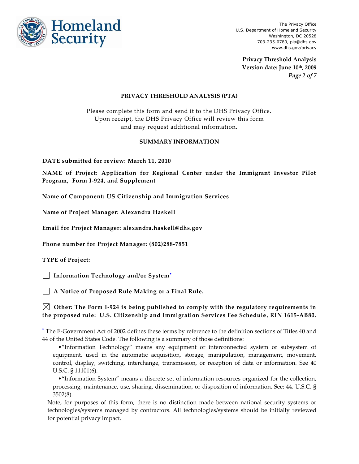

**Privacy Threshold Analysis Version date: June 10th, 2009** *Page 2 of 7*

#### **PRIVACY THRESHOLD ANALYSIS (PTA)**

Please complete this form and send it to the DHS Privacy Office. Upon receipt, the DHS Privacy Office will review this form and may request additional information.

#### **SUMMARY INFORMATION**

**DATE submitted for review: March 11, 2010**

**NAME of Project: Application for Regional Center under the Immigrant Investor Pilot Program, Form I-924, and Supplement**

**Name of Component: US Citizenship and Immigration Services**

**Name of Project Manager: Alexandra Haskell**

**Email for Project Manager: alexandra.haskell@dhs.gov**

**Phone number for Project Manager: (802)288-7851**

**TYPE of Project:**

 $\overline{a}$ 

 **Information Technology and/or System**

 **A Notice of Proposed Rule Making or a Final Rule.**

 **Other: The Form I-924 is being published to comply with the regulatory requirements in the proposed rule: U.S. Citizenship and Immigration Services Fee Schedule, RIN 1615-AB80.**

The E-Government Act of 2002 defines these terms by reference to the definition sections of Titles 40 and 44 of the United States Code. The following is a summary of those definitions:

<sup>•&</sup>quot;Information Technology" means any equipment or interconnected system or subsystem of equipment, used in the automatic acquisition, storage, manipulation, management, movement, control, display, switching, interchange, transmission, or reception of data or information. See 40 U.S.C. § 11101(6).

<sup>•&</sup>quot;Information System" means a discrete set of information resources organized for the collection, processing, maintenance, use, sharing, dissemination, or disposition of information. See: 44. U.S.C. § 3502(8).

Note, for purposes of this form, there is no distinction made between national security systems or technologies/systems managed by contractors. All technologies/systems should be initially reviewed for potential privacy impact.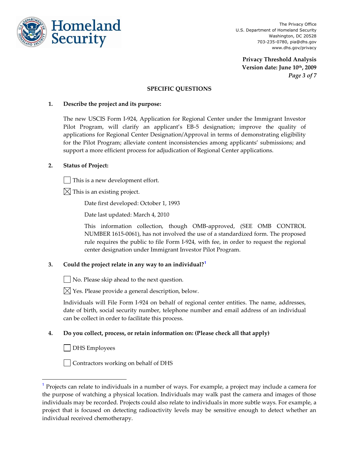

**Privacy Threshold Analysis Version date: June 10th, 2009** *Page 3 of 7*

#### **SPECIFIC QUESTIONS**

#### **1. Describe the project and its purpose:**

The new USCIS Form I-924, Application for Regional Center under the Immigrant Investor Pilot Program, will clarify an applicant's EB-5 designation; improve the quality of applications for Regional Center Designation/Approval in terms of demonstrating eligibility for the Pilot Program; alleviate content inconsistencies among applicants' submissions; and support a more efficient process for adjudication of Regional Center applications.

#### **2. Status of Project:**

This is a new development effort.

 $\boxtimes$  This is an existing project.

Date first developed: October 1, 1993

Date last updated: March 4, 2010

This information collection, though OMB-approved, (SEE OMB CONTROL NUMBER 1615-0061), has not involved the use of a standardized form. The proposed rule requires the public to file Form I-924, with fee, in order to request the regional center designation under Immigrant Investor Pilot Program.

## **3. Could the project relate in any way to an individual?<sup>1</sup>**

No. Please skip ahead to the next question.

 $\boxtimes$  Yes. Please provide a general description, below.

Individuals will File Form I-924 on behalf of regional center entities. The name, addresses, date of birth, social security number, telephone number and email address of an individual can be collect in order to facilitate this process.

## **4. Do you collect, process, or retain information on: (Please check all that apply)**

DHS Employees

l

Contractors working on behalf of DHS

<sup>&</sup>lt;sup>1</sup> Projects can relate to individuals in a number of ways. For example, a project may include a camera for the purpose of watching a physical location. Individuals may walk past the camera and images of those individuals may be recorded. Projects could also relate to individuals in more subtle ways. For example, a project that is focused on detecting radioactivity levels may be sensitive enough to detect whether an individual received chemotherapy.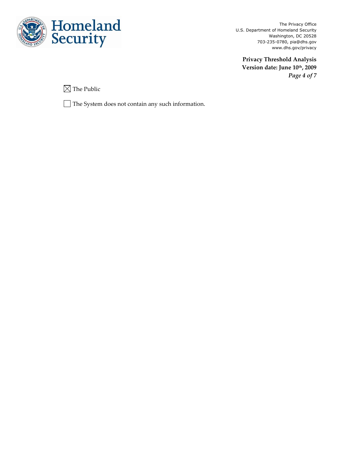

**Privacy Threshold Analysis Version date: June 10th, 2009** *Page 4 of 7*

 $\boxtimes$  The Public

The System does not contain any such information.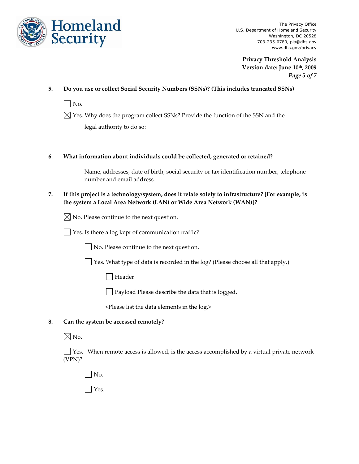

**Privacy Threshold Analysis Version date: June 10th, 2009** *Page 5 of 7*

**5. Do you use or collect Social Security Numbers (SSNs)? (This includes truncated SSNs)**

 $\vert$   $\vert$  No.

 $\boxtimes$  Yes. Why does the program collect SSNs? Provide the function of the SSN and the legal authority to do so:

## **6. What information about individuals could be collected, generated or retained?**

Name, addresses, date of birth, social security or tax identification number, telephone number and email address.

**7. If this project is a technology/system, does it relate solely to infrastructure? [For example, is the system a Local Area Network (LAN) or Wide Area Network (WAN)]?**

 $\boxtimes$  No. Please continue to the next question.

Yes. Is there a log kept of communication traffic?

No. Please continue to the next question.

Yes. What type of data is recorded in the log? (Please choose all that apply.)

Header

**Payload Please describe the data that is logged.** 

<Please list the data elements in the log.>

## **8. Can the system be accessed remotely?**

# $\boxtimes$  No.

 $\Box$  Yes. When remote access is allowed, is the access accomplished by a virtual private network (VPN)?

No.

Yes.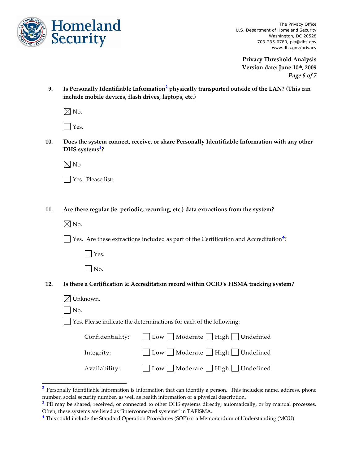

**Privacy Threshold Analysis Version date: June 10th, 2009** *Page 6 of 7*

**9. Is Personally Identifiable Information<sup>2</sup> physically transported outside of the LAN? (This can include mobile devices, flash drives, laptops, etc.)** 

 $\boxtimes$  No.

Yes.

**10. Does the system connect, receive, or share Personally Identifiable Information with any other DHS systems<sup>3</sup> ?**

 $\boxtimes$  No

| Yes. Please list: |
|-------------------|
|-------------------|

**11. Are there regular (ie. periodic, recurring, etc.) data extractions from the system?**

 $\times$  No.

l

Yes. Are these extractions included as part of the Certification and Accreditation<sup>4</sup>?

**Nes.** 

| ۰, |
|----|
|    |

# **12. Is there a Certification & Accreditation record within OCIO's FISMA tracking system?**

| $\boxtimes$ Unknown. |                                                                      |
|----------------------|----------------------------------------------------------------------|
| $\vert$ No.          |                                                                      |
|                      | │ Yes. Please indicate the determinations for each of the following: |
|                      | Confidentiality: $\Box$ Low $\Box$ Moderate $\Box$ High $\Box$       |
|                      |                                                                      |

| Confidentiality: | □ Low □ Moderate □ High □ Undefined                     |
|------------------|---------------------------------------------------------|
| Integrity:       | $\Box$ Low $\Box$ Moderate $\Box$ High $\Box$ Undefined |
| Availability:    | □ Low □ Moderate □ High □ Undefined                     |

 $2$  Personally Identifiable Information is information that can identify a person. This includes; name, address, phone number, social security number, as well as health information or a physical description.

<sup>&</sup>lt;sup>3</sup> PII may be shared, received, or connected to other DHS systems directly, automatically, or by manual processes. Often, these systems are listed as "interconnected systems" in TAFISMA.

<sup>4</sup> This could include the Standard Operation Procedures (SOP) or a Memorandum of Understanding (MOU)